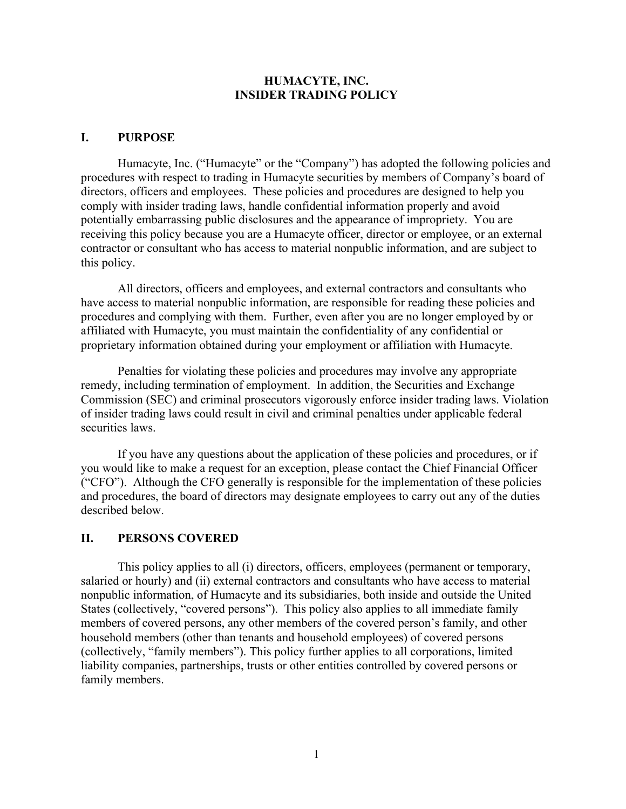#### **HUMACYTE, INC. INSIDER TRADING POLICY**

#### **I. PURPOSE**

Humacyte, Inc. ("Humacyte" or the "Company") has adopted the following policies and procedures with respect to trading in Humacyte securities by members of Company's board of directors, officers and employees. These policies and procedures are designed to help you comply with insider trading laws, handle confidential information properly and avoid potentially embarrassing public disclosures and the appearance of impropriety. You are receiving this policy because you are a Humacyte officer, director or employee, or an external contractor or consultant who has access to material nonpublic information, and are subject to this policy.

All directors, officers and employees, and external contractors and consultants who have access to material nonpublic information, are responsible for reading these policies and procedures and complying with them. Further, even after you are no longer employed by or affiliated with Humacyte, you must maintain the confidentiality of any confidential or proprietary information obtained during your employment or affiliation with Humacyte.

Penalties for violating these policies and procedures may involve any appropriate remedy, including termination of employment. In addition, the Securities and Exchange Commission (SEC) and criminal prosecutors vigorously enforce insider trading laws. Violation of insider trading laws could result in civil and criminal penalties under applicable federal securities laws.

If you have any questions about the application of these policies and procedures, or if you would like to make a request for an exception, please contact the Chief Financial Officer ("CFO"). Although the CFO generally is responsible for the implementation of these policies and procedures, the board of directors may designate employees to carry out any of the duties described below.

#### **II. PERSONS COVERED**

This policy applies to all (i) directors, officers, employees (permanent or temporary, salaried or hourly) and (ii) external contractors and consultants who have access to material nonpublic information, of Humacyte and its subsidiaries, both inside and outside the United States (collectively, "covered persons"). This policy also applies to all immediate family members of covered persons, any other members of the covered person's family, and other household members (other than tenants and household employees) of covered persons (collectively, "family members"). This policy further applies to all corporations, limited liability companies, partnerships, trusts or other entities controlled by covered persons or family members.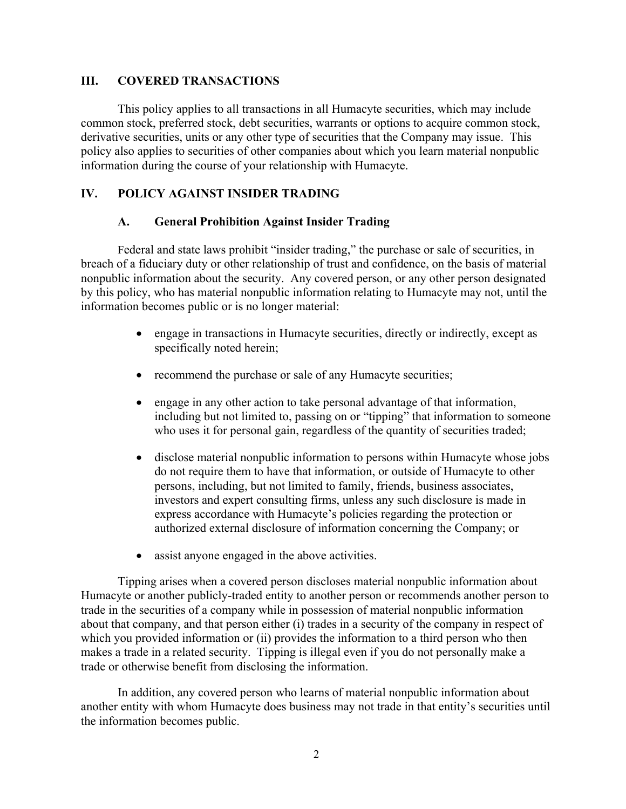#### **III. COVERED TRANSACTIONS**

This policy applies to all transactions in all Humacyte securities, which may include common stock, preferred stock, debt securities, warrants or options to acquire common stock, derivative securities, units or any other type of securities that the Company may issue. This policy also applies to securities of other companies about which you learn material nonpublic information during the course of your relationship with Humacyte.

## **IV. POLICY AGAINST INSIDER TRADING**

## **A. General Prohibition Against Insider Trading**

Federal and state laws prohibit "insider trading," the purchase or sale of securities, in breach of a fiduciary duty or other relationship of trust and confidence, on the basis of material nonpublic information about the security. Any covered person, or any other person designated by this policy, who has material nonpublic information relating to Humacyte may not, until the information becomes public or is no longer material:

- engage in transactions in Humacyte securities, directly or indirectly, except as specifically noted herein;
- recommend the purchase or sale of any Humacyte securities;
- engage in any other action to take personal advantage of that information, including but not limited to, passing on or "tipping" that information to someone who uses it for personal gain, regardless of the quantity of securities traded;
- disclose material nonpublic information to persons within Humacyte whose jobs do not require them to have that information, or outside of Humacyte to other persons, including, but not limited to family, friends, business associates, investors and expert consulting firms, unless any such disclosure is made in express accordance with Humacyte's policies regarding the protection or authorized external disclosure of information concerning the Company; or
- assist anyone engaged in the above activities.

Tipping arises when a covered person discloses material nonpublic information about Humacyte or another publicly-traded entity to another person or recommends another person to trade in the securities of a company while in possession of material nonpublic information about that company, and that person either (i) trades in a security of the company in respect of which you provided information or (ii) provides the information to a third person who then makes a trade in a related security. Tipping is illegal even if you do not personally make a trade or otherwise benefit from disclosing the information.

In addition, any covered person who learns of material nonpublic information about another entity with whom Humacyte does business may not trade in that entity's securities until the information becomes public.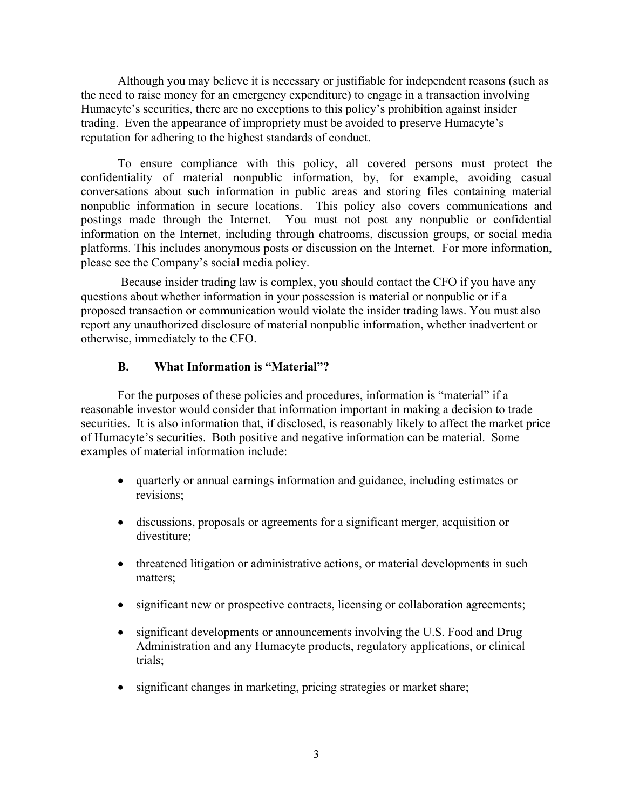Although you may believe it is necessary or justifiable for independent reasons (such as the need to raise money for an emergency expenditure) to engage in a transaction involving Humacyte's securities, there are no exceptions to this policy's prohibition against insider trading. Even the appearance of impropriety must be avoided to preserve Humacyte's reputation for adhering to the highest standards of conduct.

To ensure compliance with this policy, all covered persons must protect the confidentiality of material nonpublic information, by, for example, avoiding casual conversations about such information in public areas and storing files containing material nonpublic information in secure locations. This policy also covers communications and postings made through the Internet. You must not post any nonpublic or confidential information on the Internet, including through chatrooms, discussion groups, or social media platforms. This includes anonymous posts or discussion on the Internet. For more information, please see the Company's social media policy.

Because insider trading law is complex, you should contact the CFO if you have any questions about whether information in your possession is material or nonpublic or if a proposed transaction or communication would violate the insider trading laws. You must also report any unauthorized disclosure of material nonpublic information, whether inadvertent or otherwise, immediately to the CFO.

## **B. What Information is "Material"?**

For the purposes of these policies and procedures, information is "material" if a reasonable investor would consider that information important in making a decision to trade securities. It is also information that, if disclosed, is reasonably likely to affect the market price of Humacyte's securities. Both positive and negative information can be material. Some examples of material information include:

- quarterly or annual earnings information and guidance, including estimates or revisions;
- discussions, proposals or agreements for a significant merger, acquisition or divestiture;
- threatened litigation or administrative actions, or material developments in such matters;
- significant new or prospective contracts, licensing or collaboration agreements;
- significant developments or announcements involving the U.S. Food and Drug Administration and any Humacyte products, regulatory applications, or clinical trials;
- significant changes in marketing, pricing strategies or market share;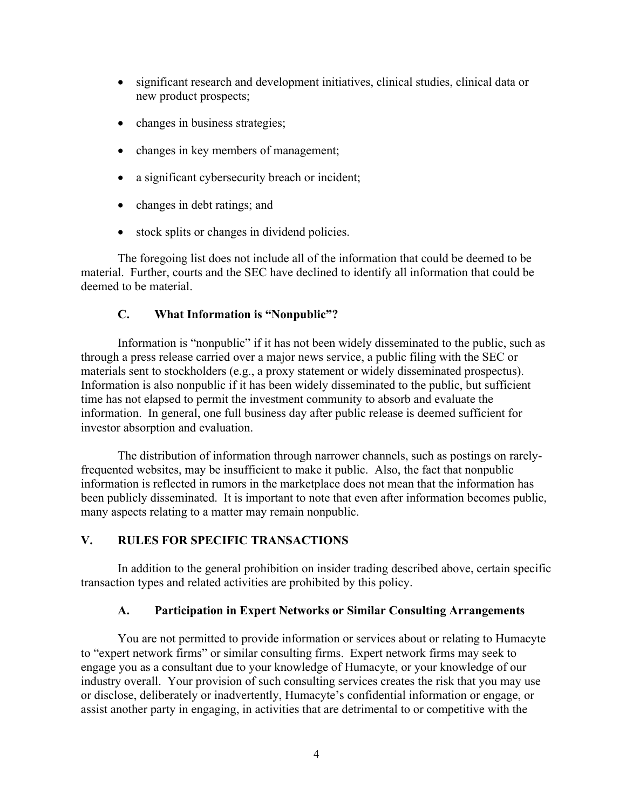- significant research and development initiatives, clinical studies, clinical data or new product prospects;
- changes in business strategies;
- changes in key members of management;
- a significant cybersecurity breach or incident;
- changes in debt ratings; and
- stock splits or changes in dividend policies.

The foregoing list does not include all of the information that could be deemed to be material. Further, courts and the SEC have declined to identify all information that could be deemed to be material.

# **C. What Information is "Nonpublic"?**

Information is "nonpublic" if it has not been widely disseminated to the public, such as through a press release carried over a major news service, a public filing with the SEC or materials sent to stockholders (e.g., a proxy statement or widely disseminated prospectus). Information is also nonpublic if it has been widely disseminated to the public, but sufficient time has not elapsed to permit the investment community to absorb and evaluate the information. In general, one full business day after public release is deemed sufficient for investor absorption and evaluation.

The distribution of information through narrower channels, such as postings on rarelyfrequented websites, may be insufficient to make it public. Also, the fact that nonpublic information is reflected in rumors in the marketplace does not mean that the information has been publicly disseminated. It is important to note that even after information becomes public, many aspects relating to a matter may remain nonpublic.

# **V. RULES FOR SPECIFIC TRANSACTIONS**

In addition to the general prohibition on insider trading described above, certain specific transaction types and related activities are prohibited by this policy.

## **A. Participation in Expert Networks or Similar Consulting Arrangements**

You are not permitted to provide information or services about or relating to Humacyte to "expert network firms" or similar consulting firms. Expert network firms may seek to engage you as a consultant due to your knowledge of Humacyte, or your knowledge of our industry overall. Your provision of such consulting services creates the risk that you may use or disclose, deliberately or inadvertently, Humacyte's confidential information or engage, or assist another party in engaging, in activities that are detrimental to or competitive with the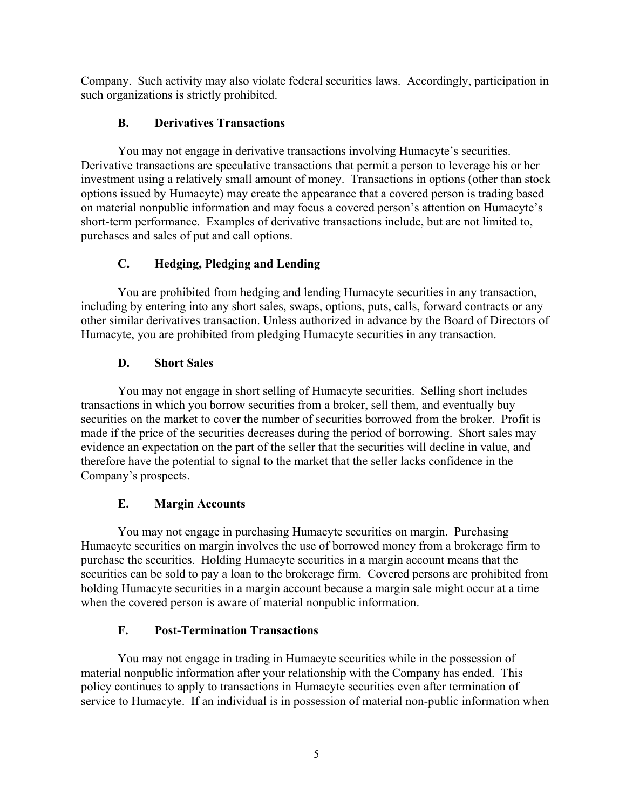Company. Such activity may also violate federal securities laws. Accordingly, participation in such organizations is strictly prohibited.

# **B. Derivatives Transactions**

You may not engage in derivative transactions involving Humacyte's securities. Derivative transactions are speculative transactions that permit a person to leverage his or her investment using a relatively small amount of money. Transactions in options (other than stock options issued by Humacyte) may create the appearance that a covered person is trading based on material nonpublic information and may focus a covered person's attention on Humacyte's short-term performance. Examples of derivative transactions include, but are not limited to, purchases and sales of put and call options.

# **C. Hedging, Pledging and Lending**

You are prohibited from hedging and lending Humacyte securities in any transaction, including by entering into any short sales, swaps, options, puts, calls, forward contracts or any other similar derivatives transaction. Unless authorized in advance by the Board of Directors of Humacyte, you are prohibited from pledging Humacyte securities in any transaction.

# **D. Short Sales**

You may not engage in short selling of Humacyte securities. Selling short includes transactions in which you borrow securities from a broker, sell them, and eventually buy securities on the market to cover the number of securities borrowed from the broker. Profit is made if the price of the securities decreases during the period of borrowing. Short sales may evidence an expectation on the part of the seller that the securities will decline in value, and therefore have the potential to signal to the market that the seller lacks confidence in the Company's prospects.

# **E. Margin Accounts**

You may not engage in purchasing Humacyte securities on margin. Purchasing Humacyte securities on margin involves the use of borrowed money from a brokerage firm to purchase the securities. Holding Humacyte securities in a margin account means that the securities can be sold to pay a loan to the brokerage firm. Covered persons are prohibited from holding Humacyte securities in a margin account because a margin sale might occur at a time when the covered person is aware of material nonpublic information.

# **F. Post-Termination Transactions**

You may not engage in trading in Humacyte securities while in the possession of material nonpublic information after your relationship with the Company has ended. This policy continues to apply to transactions in Humacyte securities even after termination of service to Humacyte. If an individual is in possession of material non-public information when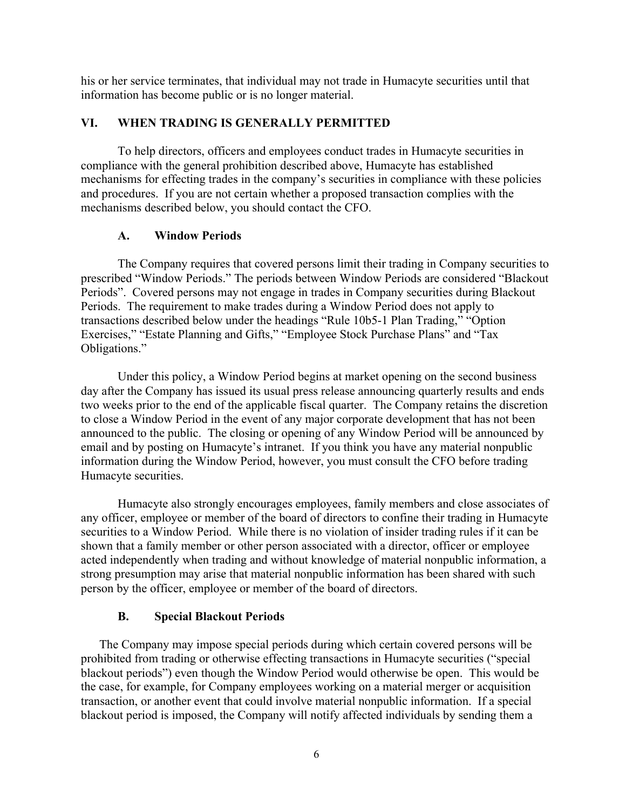his or her service terminates, that individual may not trade in Humacyte securities until that information has become public or is no longer material.

#### **VI. WHEN TRADING IS GENERALLY PERMITTED**

To help directors, officers and employees conduct trades in Humacyte securities in compliance with the general prohibition described above, Humacyte has established mechanisms for effecting trades in the company's securities in compliance with these policies and procedures. If you are not certain whether a proposed transaction complies with the mechanisms described below, you should contact the CFO.

#### **A. Window Periods**

The Company requires that covered persons limit their trading in Company securities to prescribed "Window Periods." The periods between Window Periods are considered "Blackout Periods". Covered persons may not engage in trades in Company securities during Blackout Periods. The requirement to make trades during a Window Period does not apply to transactions described below under the headings "Rule 10b5-1 Plan Trading," "Option Exercises," "Estate Planning and Gifts," "Employee Stock Purchase Plans" and "Tax Obligations."

Under this policy, a Window Period begins at market opening on the second business day after the Company has issued its usual press release announcing quarterly results and ends two weeks prior to the end of the applicable fiscal quarter. The Company retains the discretion to close a Window Period in the event of any major corporate development that has not been announced to the public. The closing or opening of any Window Period will be announced by email and by posting on Humacyte's intranet. If you think you have any material nonpublic information during the Window Period, however, you must consult the CFO before trading Humacyte securities.

Humacyte also strongly encourages employees, family members and close associates of any officer, employee or member of the board of directors to confine their trading in Humacyte securities to a Window Period. While there is no violation of insider trading rules if it can be shown that a family member or other person associated with a director, officer or employee acted independently when trading and without knowledge of material nonpublic information, a strong presumption may arise that material nonpublic information has been shared with such person by the officer, employee or member of the board of directors.

#### **B. Special Blackout Periods**

The Company may impose special periods during which certain covered persons will be prohibited from trading or otherwise effecting transactions in Humacyte securities ("special blackout periods") even though the Window Period would otherwise be open. This would be the case, for example, for Company employees working on a material merger or acquisition transaction, or another event that could involve material nonpublic information. If a special blackout period is imposed, the Company will notify affected individuals by sending them a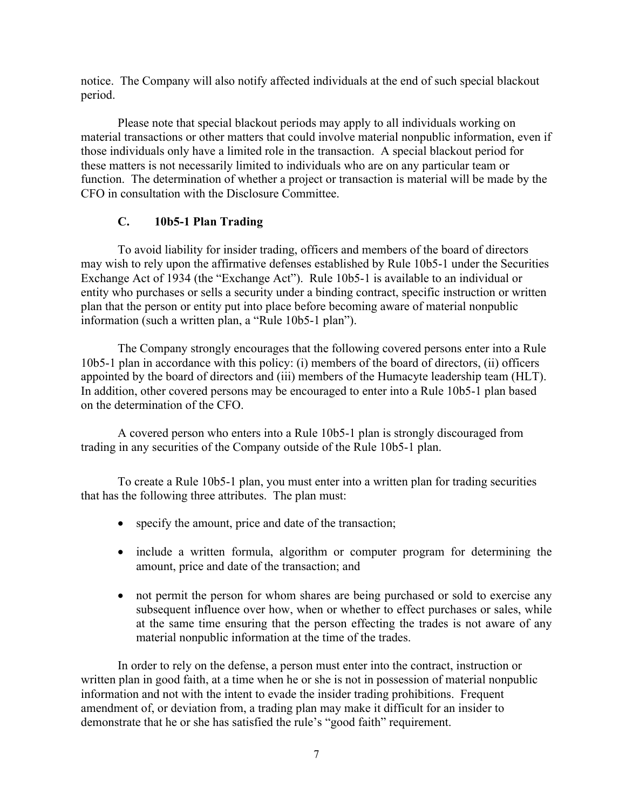notice. The Company will also notify affected individuals at the end of such special blackout period.

Please note that special blackout periods may apply to all individuals working on material transactions or other matters that could involve material nonpublic information, even if those individuals only have a limited role in the transaction. A special blackout period for these matters is not necessarily limited to individuals who are on any particular team or function. The determination of whether a project or transaction is material will be made by the CFO in consultation with the Disclosure Committee.

# **C. 10b5-1 Plan Trading**

To avoid liability for insider trading, officers and members of the board of directors may wish to rely upon the affirmative defenses established by Rule 10b5-1 under the Securities Exchange Act of 1934 (the "Exchange Act"). Rule 10b5-1 is available to an individual or entity who purchases or sells a security under a binding contract, specific instruction or written plan that the person or entity put into place before becoming aware of material nonpublic information (such a written plan, a "Rule 10b5-1 plan").

The Company strongly encourages that the following covered persons enter into a Rule 10b5-1 plan in accordance with this policy: (i) members of the board of directors, (ii) officers appointed by the board of directors and (iii) members of the Humacyte leadership team (HLT). In addition, other covered persons may be encouraged to enter into a Rule 10b5-1 plan based on the determination of the CFO.

A covered person who enters into a Rule 10b5-1 plan is strongly discouraged from trading in any securities of the Company outside of the Rule 10b5-1 plan.

To create a Rule 10b5-1 plan, you must enter into a written plan for trading securities that has the following three attributes. The plan must:

- specify the amount, price and date of the transaction;
- include a written formula, algorithm or computer program for determining the amount, price and date of the transaction; and
- not permit the person for whom shares are being purchased or sold to exercise any subsequent influence over how, when or whether to effect purchases or sales, while at the same time ensuring that the person effecting the trades is not aware of any material nonpublic information at the time of the trades.

In order to rely on the defense, a person must enter into the contract, instruction or written plan in good faith, at a time when he or she is not in possession of material nonpublic information and not with the intent to evade the insider trading prohibitions. Frequent amendment of, or deviation from, a trading plan may make it difficult for an insider to demonstrate that he or she has satisfied the rule's "good faith" requirement.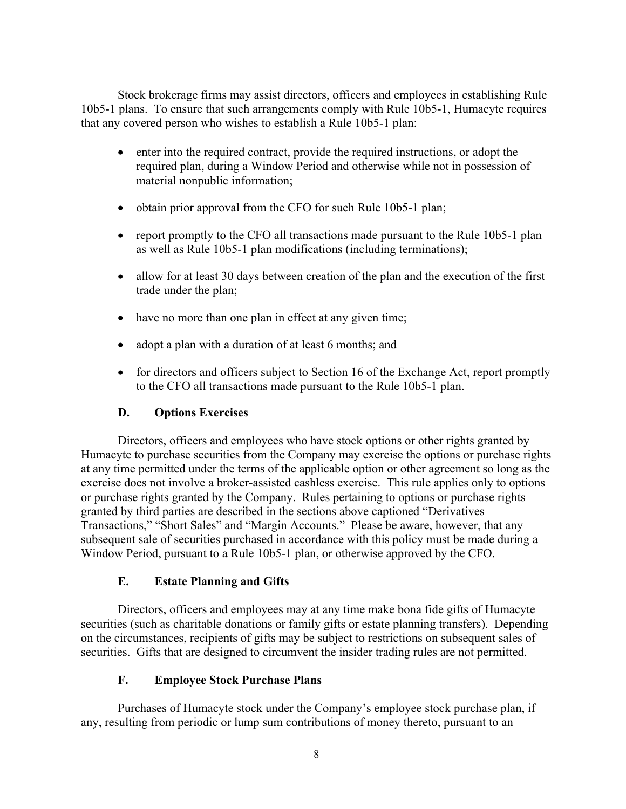Stock brokerage firms may assist directors, officers and employees in establishing Rule 10b5-1 plans. To ensure that such arrangements comply with Rule 10b5-1, Humacyte requires that any covered person who wishes to establish a Rule 10b5-1 plan:

- enter into the required contract, provide the required instructions, or adopt the required plan, during a Window Period and otherwise while not in possession of material nonpublic information;
- obtain prior approval from the CFO for such Rule 10b5-1 plan;
- report promptly to the CFO all transactions made pursuant to the Rule 10b5-1 plan as well as Rule 10b5-1 plan modifications (including terminations);
- allow for at least 30 days between creation of the plan and the execution of the first trade under the plan;
- have no more than one plan in effect at any given time;
- adopt a plan with a duration of at least 6 months; and
- for directors and officers subject to Section 16 of the Exchange Act, report promptly to the CFO all transactions made pursuant to the Rule 10b5-1 plan.

## **D. Options Exercises**

Directors, officers and employees who have stock options or other rights granted by Humacyte to purchase securities from the Company may exercise the options or purchase rights at any time permitted under the terms of the applicable option or other agreement so long as the exercise does not involve a broker-assisted cashless exercise. This rule applies only to options or purchase rights granted by the Company. Rules pertaining to options or purchase rights granted by third parties are described in the sections above captioned "Derivatives Transactions," "Short Sales" and "Margin Accounts." Please be aware, however, that any subsequent sale of securities purchased in accordance with this policy must be made during a Window Period, pursuant to a Rule 10b5-1 plan, or otherwise approved by the CFO.

## **E. Estate Planning and Gifts**

Directors, officers and employees may at any time make bona fide gifts of Humacyte securities (such as charitable donations or family gifts or estate planning transfers). Depending on the circumstances, recipients of gifts may be subject to restrictions on subsequent sales of securities. Gifts that are designed to circumvent the insider trading rules are not permitted.

## **F. Employee Stock Purchase Plans**

Purchases of Humacyte stock under the Company's employee stock purchase plan, if any, resulting from periodic or lump sum contributions of money thereto, pursuant to an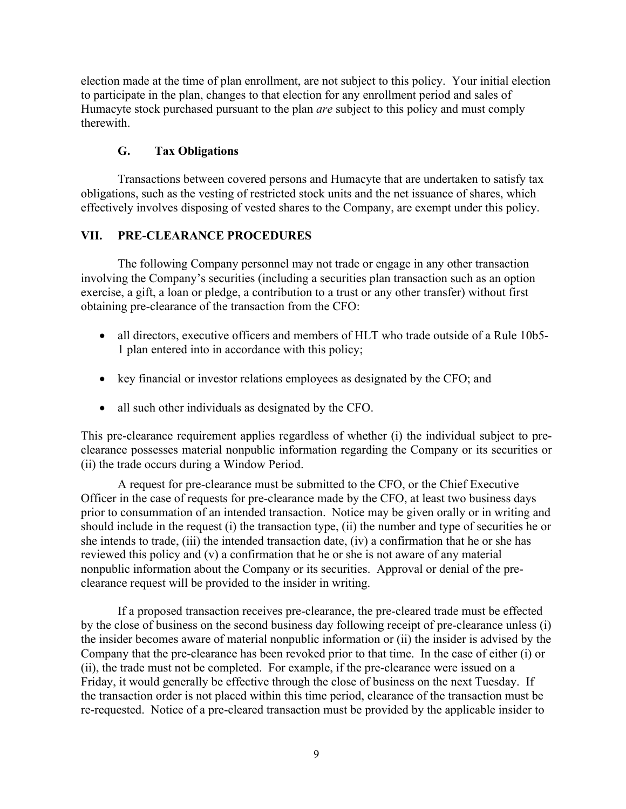election made at the time of plan enrollment, are not subject to this policy. Your initial election to participate in the plan, changes to that election for any enrollment period and sales of Humacyte stock purchased pursuant to the plan *are* subject to this policy and must comply therewith.

# **G. Tax Obligations**

Transactions between covered persons and Humacyte that are undertaken to satisfy tax obligations, such as the vesting of restricted stock units and the net issuance of shares, which effectively involves disposing of vested shares to the Company, are exempt under this policy.

# **VII. PRE-CLEARANCE PROCEDURES**

The following Company personnel may not trade or engage in any other transaction involving the Company's securities (including a securities plan transaction such as an option exercise, a gift, a loan or pledge, a contribution to a trust or any other transfer) without first obtaining pre-clearance of the transaction from the CFO:

- all directors, executive officers and members of HLT who trade outside of a Rule 10b5-1 plan entered into in accordance with this policy;
- key financial or investor relations employees as designated by the CFO; and
- all such other individuals as designated by the CFO.

This pre-clearance requirement applies regardless of whether (i) the individual subject to preclearance possesses material nonpublic information regarding the Company or its securities or (ii) the trade occurs during a Window Period.

 A request for pre-clearance must be submitted to the CFO, or the Chief Executive Officer in the case of requests for pre-clearance made by the CFO, at least two business days prior to consummation of an intended transaction. Notice may be given orally or in writing and should include in the request (i) the transaction type, (ii) the number and type of securities he or she intends to trade, (iii) the intended transaction date, (iv) a confirmation that he or she has reviewed this policy and (v) a confirmation that he or she is not aware of any material nonpublic information about the Company or its securities. Approval or denial of the preclearance request will be provided to the insider in writing.

If a proposed transaction receives pre-clearance, the pre-cleared trade must be effected by the close of business on the second business day following receipt of pre-clearance unless (i) the insider becomes aware of material nonpublic information or (ii) the insider is advised by the Company that the pre-clearance has been revoked prior to that time. In the case of either (i) or (ii), the trade must not be completed. For example, if the pre-clearance were issued on a Friday, it would generally be effective through the close of business on the next Tuesday. If the transaction order is not placed within this time period, clearance of the transaction must be re-requested. Notice of a pre-cleared transaction must be provided by the applicable insider to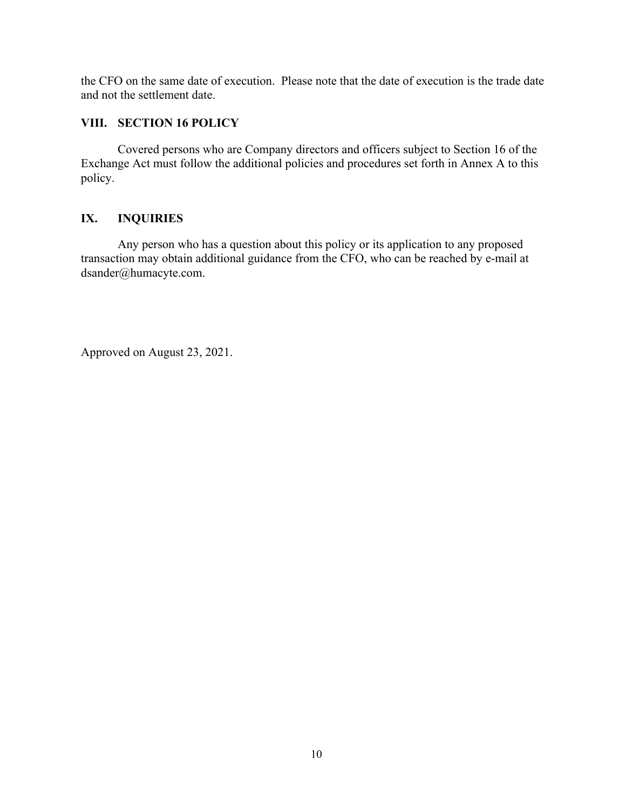the CFO on the same date of execution. Please note that the date of execution is the trade date and not the settlement date.

## **VIII. SECTION 16 POLICY**

Covered persons who are Company directors and officers subject to Section 16 of the Exchange Act must follow the additional policies and procedures set forth in Annex A to this policy.

## **IX. INQUIRIES**

Any person who has a question about this policy or its application to any proposed transaction may obtain additional guidance from the CFO, who can be reached by e-mail at dsander@humacyte.com.

Approved on August 23, 2021.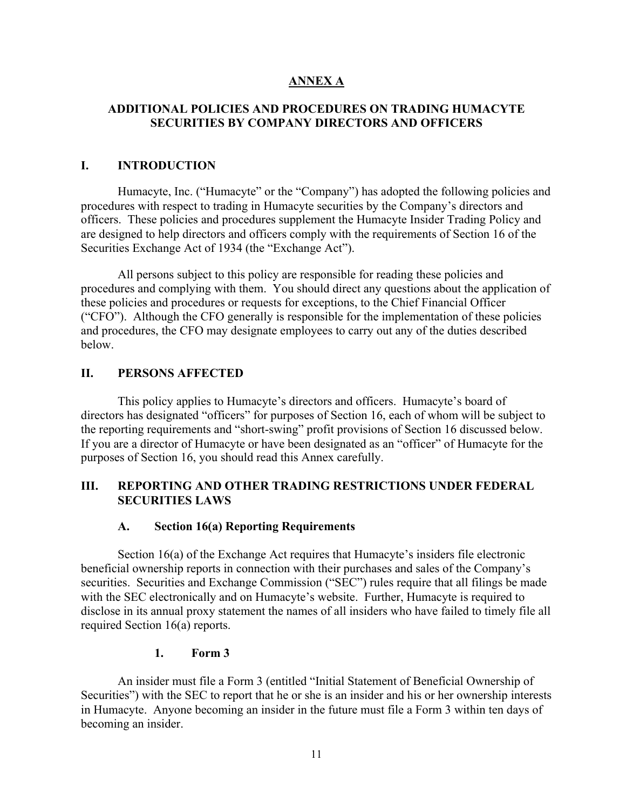## **ANNEX A**

## **ADDITIONAL POLICIES AND PROCEDURES ON TRADING HUMACYTE SECURITIES BY COMPANY DIRECTORS AND OFFICERS**

#### **I. INTRODUCTION**

Humacyte, Inc. ("Humacyte" or the "Company") has adopted the following policies and procedures with respect to trading in Humacyte securities by the Company's directors and officers. These policies and procedures supplement the Humacyte Insider Trading Policy and are designed to help directors and officers comply with the requirements of Section 16 of the Securities Exchange Act of 1934 (the "Exchange Act").

All persons subject to this policy are responsible for reading these policies and procedures and complying with them. You should direct any questions about the application of these policies and procedures or requests for exceptions, to the Chief Financial Officer ("CFO"). Although the CFO generally is responsible for the implementation of these policies and procedures, the CFO may designate employees to carry out any of the duties described below.

## **II. PERSONS AFFECTED**

This policy applies to Humacyte's directors and officers. Humacyte's board of directors has designated "officers" for purposes of Section 16, each of whom will be subject to the reporting requirements and "short-swing" profit provisions of Section 16 discussed below. If you are a director of Humacyte or have been designated as an "officer" of Humacyte for the purposes of Section 16, you should read this Annex carefully.

# **III. REPORTING AND OTHER TRADING RESTRICTIONS UNDER FEDERAL SECURITIES LAWS**

## **A. Section 16(a) Reporting Requirements**

Section 16(a) of the Exchange Act requires that Humacyte's insiders file electronic beneficial ownership reports in connection with their purchases and sales of the Company's securities. Securities and Exchange Commission ("SEC") rules require that all filings be made with the SEC electronically and on Humacyte's website. Further, Humacyte is required to disclose in its annual proxy statement the names of all insiders who have failed to timely file all required Section 16(a) reports.

#### **1. Form 3**

An insider must file a Form 3 (entitled "Initial Statement of Beneficial Ownership of Securities") with the SEC to report that he or she is an insider and his or her ownership interests in Humacyte. Anyone becoming an insider in the future must file a Form 3 within ten days of becoming an insider.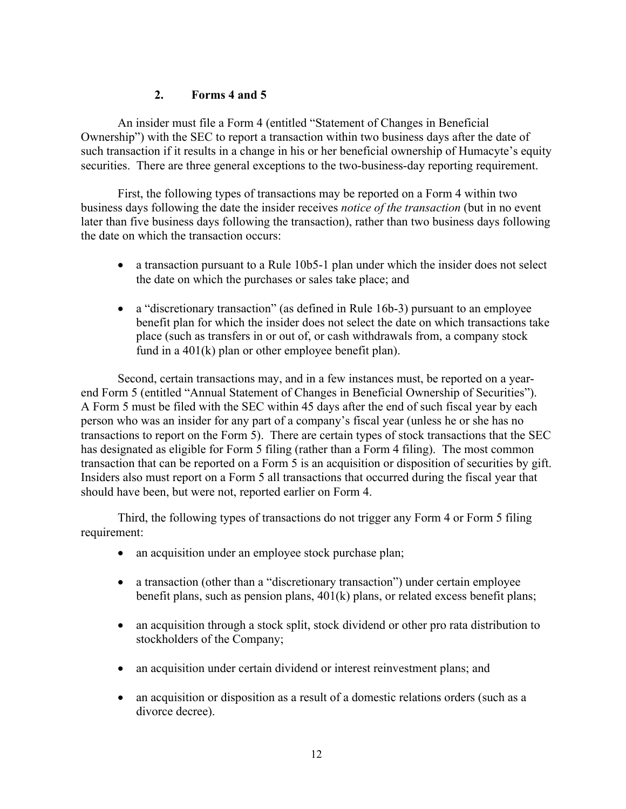## **2. Forms 4 and 5**

An insider must file a Form 4 (entitled "Statement of Changes in Beneficial Ownership") with the SEC to report a transaction within two business days after the date of such transaction if it results in a change in his or her beneficial ownership of Humacyte's equity securities. There are three general exceptions to the two-business-day reporting requirement.

First, the following types of transactions may be reported on a Form 4 within two business days following the date the insider receives *notice of the transaction* (but in no event later than five business days following the transaction), rather than two business days following the date on which the transaction occurs:

- a transaction pursuant to a Rule 10b5-1 plan under which the insider does not select the date on which the purchases or sales take place; and
- a "discretionary transaction" (as defined in Rule 16b-3) pursuant to an employee benefit plan for which the insider does not select the date on which transactions take place (such as transfers in or out of, or cash withdrawals from, a company stock fund in a 401(k) plan or other employee benefit plan).

Second, certain transactions may, and in a few instances must, be reported on a yearend Form 5 (entitled "Annual Statement of Changes in Beneficial Ownership of Securities"). A Form 5 must be filed with the SEC within 45 days after the end of such fiscal year by each person who was an insider for any part of a company's fiscal year (unless he or she has no transactions to report on the Form 5). There are certain types of stock transactions that the SEC has designated as eligible for Form 5 filing (rather than a Form 4 filing). The most common transaction that can be reported on a Form 5 is an acquisition or disposition of securities by gift. Insiders also must report on a Form 5 all transactions that occurred during the fiscal year that should have been, but were not, reported earlier on Form 4.

Third, the following types of transactions do not trigger any Form 4 or Form 5 filing requirement:

- an acquisition under an employee stock purchase plan;
- a transaction (other than a "discretionary transaction") under certain employee benefit plans, such as pension plans,  $401(k)$  plans, or related excess benefit plans;
- an acquisition through a stock split, stock dividend or other pro rata distribution to stockholders of the Company;
- an acquisition under certain dividend or interest reinvestment plans; and
- an acquisition or disposition as a result of a domestic relations orders (such as a divorce decree).